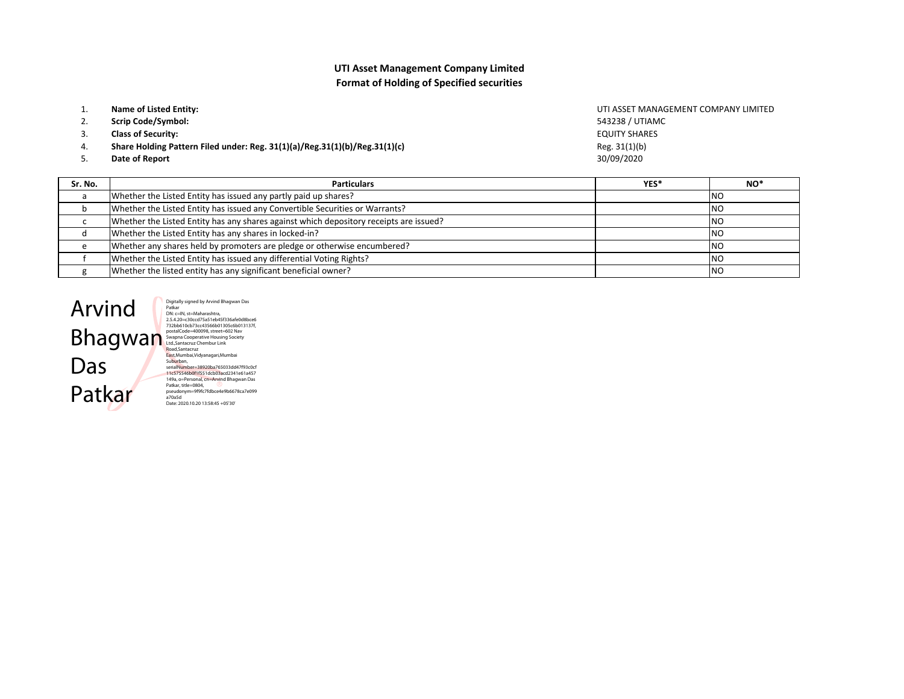## UTI Asset Management Company LimitedFormat of Holding of Specified securities

- 1.Name of Listed Entity:
- 2.Scrip Code/Symbol:
- 3.Class of Security:
- Share Holding Pattern Filed under: Reg. 31(1)(a)/Reg.31(1)(b)/Reg.31(1)(c)4.
- 5.Date of Report

Reg. 31(1)(b) 30/09/2020UTI ASSET MANAGEMENT COMPANY LIMITED543238 / UTIAMCEQUITY SHARES

| Sr. No. | <b>Particulars</b>                                                                     | YES* | NO <sup>*</sup> |
|---------|----------------------------------------------------------------------------------------|------|-----------------|
|         | Whether the Listed Entity has issued any partly paid up shares?                        |      | <b>INO</b>      |
| b       | Whether the Listed Entity has issued any Convertible Securities or Warrants?           |      | - NO            |
|         | Whether the Listed Entity has any shares against which depository receipts are issued? |      | <b>INO</b>      |
|         | Whether the Listed Entity has any shares in locked-in?                                 |      | <b>INO</b>      |
|         | Whether any shares held by promoters are pledge or otherwise encumbered?               |      | - NO            |
|         | Whether the Listed Entity has issued any differential Voting Rights?                   |      | <b>INO</b>      |
|         | Whether the listed entity has any significant beneficial owner?                        |      | <b>NO</b>       |



Digitally signed by Arvind Bhagwan Das<br>Digitally signed by Arvind Bhagwan Das<br>2.5.4.20=(30ccd75a51eb45f336afe0d8bce6<br>2.5.4.20=(30ccd75a51eb45f336afe0d8bce6<br>732bb610cb-73cc43566b01305cstep<br>Swapna Cooperative Housing Society 149a, o=Personal, cn=Arvind Bhagwan Das Patkar, title=0804, pseudonym=9f9fc7fdbce4e9b6678ca7e099 a70a5d Date: 2020.10.20 13:58:45 +05'30'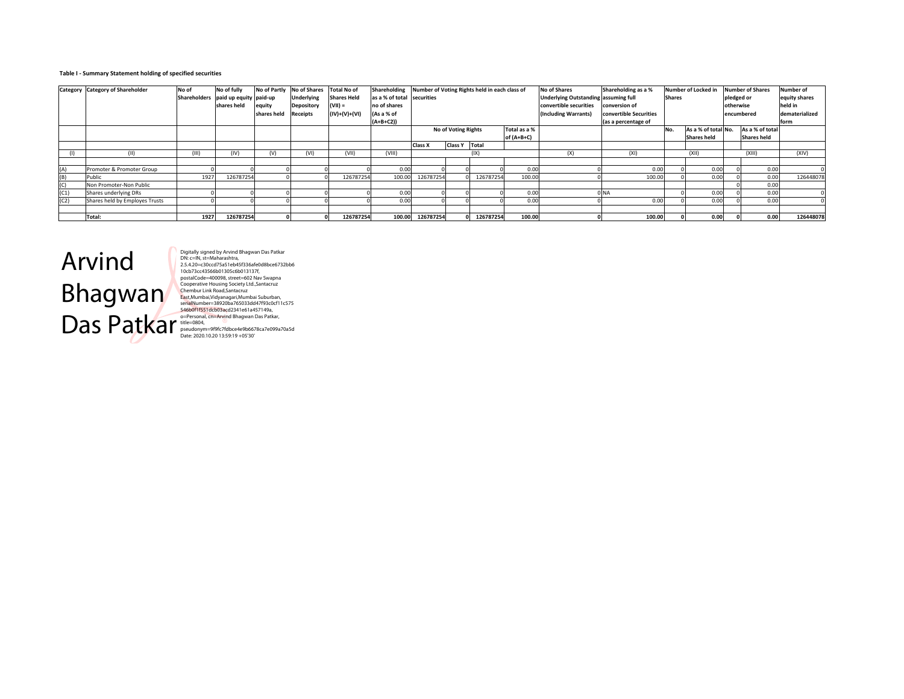#### Table I - Summary Statement holding of specified securities

|      | <b>Category</b> Category of Shareholder | No of | No of fully<br>Shareholders paid up equity paid-up |             | No of Partly No of Shares<br><b>Underlying</b> | <b>Total No of</b><br><b>Shares Held</b> | Shareholding<br>as a % of total securities | Number of Voting Rights held in each class of |                                            |           |            | <b>No of Shares</b><br><b>Underlying Outstanding assuming full</b> | Shareholding as a %            |     | Number of Locked in | pledged or | <b>Number of Shares</b> | <b>Number of</b><br>equity shares |
|------|-----------------------------------------|-------|----------------------------------------------------|-------------|------------------------------------------------|------------------------------------------|--------------------------------------------|-----------------------------------------------|--------------------------------------------|-----------|------------|--------------------------------------------------------------------|--------------------------------|-----|---------------------|------------|-------------------------|-----------------------------------|
|      |                                         |       | shares held                                        | equity      | Depository                                     | $(VII) =$                                | no of shares                               |                                               |                                            |           |            | convertible securities                                             | <b>Shares</b><br>conversion of |     |                     |            | otherwise               | held in                           |
|      |                                         |       |                                                    | shares held | <b>Receipts</b>                                | $(IV)+(V)+(VI)$                          | (As a % of                                 |                                               |                                            |           |            | (Including Warrants)                                               | convertible Securities         |     |                     |            | encumbered              | dematerialized                    |
|      |                                         |       |                                                    |             |                                                |                                          | $(A+B+C2)$                                 |                                               |                                            |           |            |                                                                    | (as a percentage of            |     |                     |            |                         | form                              |
|      |                                         |       |                                                    |             |                                                |                                          |                                            |                                               | Total as a %<br><b>No of Voting Rights</b> |           |            |                                                                    |                                | No. | As a % of total No. |            | As a % of total         |                                   |
|      |                                         |       |                                                    |             |                                                |                                          |                                            |                                               |                                            |           | of (A+B+C) |                                                                    |                                |     | <b>Shares held</b>  |            | <b>Shares held</b>      |                                   |
|      |                                         |       |                                                    |             |                                                |                                          |                                            | Class X                                       | Class Y Total                              |           |            |                                                                    |                                |     |                     |            |                         |                                   |
|      | (11)                                    | (III) | (IV)                                               | (V)         | (VI)                                           | (VII)                                    | (VIII)                                     |                                               |                                            | (IX)      |            | (X)                                                                | (XI)                           |     | (X  )               |            | (X  )                   | (XIV)                             |
|      |                                         |       |                                                    |             |                                                |                                          |                                            |                                               |                                            |           |            |                                                                    |                                |     |                     |            |                         |                                   |
| (A)  | Promoter & Promoter Group               |       |                                                    |             |                                                |                                          | 0.00                                       |                                               |                                            |           | 0.00       |                                                                    | 0.00                           |     | 0.00                |            | 0.00                    |                                   |
| (B)  | Public                                  | 1927  | 126787254                                          |             |                                                | 126787254                                | 100.00                                     | 126787254                                     |                                            | 126787254 | 100.00     |                                                                    | 100.00                         |     | 0.00                |            | 0.00                    | 126448078                         |
| (C)  | Non Promoter-Non Public                 |       |                                                    |             |                                                |                                          |                                            |                                               |                                            |           |            |                                                                    |                                |     |                     |            | 0.00                    |                                   |
| (C1) | Shares underlying DRs                   |       |                                                    |             |                                                |                                          | 0.00                                       |                                               |                                            |           | 0.00       |                                                                    | 0 <sub>NA</sub>                |     | 0.00                |            | 0.00                    |                                   |
| (C2) | Shares held by Employes Trusts          |       |                                                    |             |                                                |                                          | 0.00                                       |                                               |                                            |           | 0.00       |                                                                    | 0.00                           |     | 0.00                |            | 0.00                    |                                   |
|      |                                         |       |                                                    |             |                                                |                                          |                                            |                                               |                                            |           |            |                                                                    |                                |     |                     |            |                         |                                   |
|      | Total:                                  | 1927  | 126787254                                          |             |                                                | 126787254                                | 100.00                                     | 126787254                                     |                                            | 126787254 | 100.00     |                                                                    | 100.00                         |     | 0.00                |            | 0.00                    | 126448078                         |

# Arvind Bhagwan Das Patkar

Digitally signed by Arvind Bhagwan Das Patkar<br>Digitally signed by Arvind Bhagwan Das Patkar<br>2.5.4.20=c30ccd75a51eb45f336afe0d8bce6732bb6<br>10cb73ccd3566b01305c6b013137f,<br>cooperative Housing Society Ltd.,Santacruz<br>Cooperative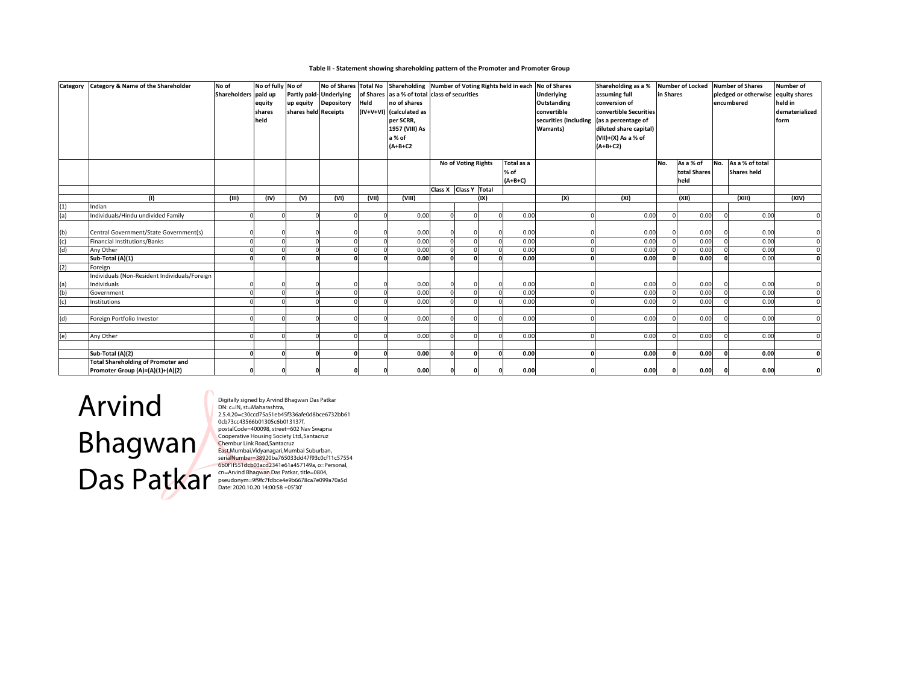#### Table II - Statement showing shareholding pattern of the Promoter and Promoter Group

| Category | <b>Category &amp; Name of the Shareholder</b> | No of                | No of fully No of |                         | No of Shares   Total No |       | Shareholding Number of Voting Rights held in each No of Shares |                                               |                     |      |            |                       | Shareholding as a %        |     | <b>Number of Locked</b> |     | <b>Number of Shares</b> | <b>Number of</b> |
|----------|-----------------------------------------------|----------------------|-------------------|-------------------------|-------------------------|-------|----------------------------------------------------------------|-----------------------------------------------|---------------------|------|------------|-----------------------|----------------------------|-----|-------------------------|-----|-------------------------|------------------|
|          |                                               | Shareholders paid up |                   | Partly paid- Underlying |                         |       |                                                                | of Shares as a % of total class of securities |                     |      |            | <b>Underlying</b>     | assuming full<br>in Shares |     |                         |     | pledged or otherwise    | equity shares    |
|          |                                               |                      | equity            | up equity Depository    |                         | Held  | no of shares                                                   |                                               |                     |      |            | Outstanding           | conversion of              |     |                         |     | encumbered              | held in          |
|          |                                               |                      | shares            | shares held Receipts    |                         |       | (IV+V+VI) (calculated as                                       |                                               |                     |      |            | convertible           | convertible Securities     |     |                         |     |                         | dematerialized   |
|          |                                               |                      | held              |                         |                         |       | per SCRR,                                                      |                                               |                     |      |            | securities (Including | (as a percentage of        |     |                         |     |                         | form             |
|          |                                               |                      |                   |                         |                         |       | 1957 (VIII) As                                                 |                                               |                     |      |            | Warrants)             | diluted share capital)     |     |                         |     |                         |                  |
|          |                                               |                      |                   |                         |                         |       | a % of                                                         |                                               |                     |      |            |                       | (VII)+(X) As a % of        |     |                         |     |                         |                  |
|          |                                               |                      |                   |                         |                         |       | $(A+B+C2$                                                      |                                               |                     |      |            |                       | $(A+B+C2)$                 |     |                         |     |                         |                  |
|          |                                               |                      |                   |                         |                         |       |                                                                |                                               |                     |      |            |                       |                            |     |                         |     |                         |                  |
|          |                                               |                      |                   |                         |                         |       |                                                                |                                               | No of Voting Rights |      | Total as a |                       |                            | No. | As a % of               | No. | As a % of total         |                  |
|          |                                               |                      |                   |                         |                         |       |                                                                |                                               |                     |      | % of       |                       |                            |     | total Shares            |     | <b>Shares held</b>      |                  |
|          |                                               |                      |                   |                         |                         |       |                                                                |                                               |                     |      | $(A+B+C)$  |                       |                            |     | held                    |     |                         |                  |
|          |                                               |                      |                   |                         |                         |       |                                                                | Class X Class Y Total                         |                     |      |            |                       |                            |     |                         |     |                         |                  |
|          | (1)                                           | (III)                | (IV)              | (V)                     | (VI)                    | (VII) | (VIII)                                                         |                                               |                     | (IX) |            | (X)                   | (XI)                       |     | (XII)                   |     | (XIII)                  | (XIV)            |
| (1)      | Indian                                        |                      |                   |                         |                         |       |                                                                |                                               |                     |      |            |                       |                            |     |                         |     |                         |                  |
| (a)      | Individuals/Hindu undivided Family            |                      |                   |                         |                         |       | 0.00                                                           |                                               |                     |      | 0.00       |                       | 0.00                       |     | 0.00                    |     | 0.00                    |                  |
|          |                                               |                      |                   |                         |                         |       |                                                                |                                               |                     |      |            |                       |                            |     |                         |     |                         |                  |
| (b)      | Central Government/State Government(s)        |                      |                   |                         |                         |       | 0.00                                                           |                                               |                     |      | 0.00       |                       | 0.00                       |     | 0.00                    |     | 0.00                    |                  |
| (c)      | <b>Financial Institutions/Banks</b>           |                      |                   |                         |                         |       | 0.00                                                           |                                               |                     |      | 0.00       |                       | 0.00                       |     | 0.00                    |     | 0.00                    | $\Omega$         |
| (d)      | Any Other                                     |                      |                   |                         |                         |       | 0.00                                                           |                                               |                     |      | 0.00       |                       | 0.00                       |     | 0.00                    |     | 0.00                    |                  |
|          | Sub-Total (A)(1)                              |                      |                   |                         |                         |       | 0.00                                                           |                                               |                     |      | 0.00       |                       | 0.00                       |     | 0.00                    |     | 0.00                    |                  |
| (2)      | Foreign                                       |                      |                   |                         |                         |       |                                                                |                                               |                     |      |            |                       |                            |     |                         |     |                         |                  |
|          | Individuals (Non-Resident Individuals/Foreign |                      |                   |                         |                         |       |                                                                |                                               |                     |      |            |                       |                            |     |                         |     |                         |                  |
| (a)      | Individuals                                   |                      |                   |                         |                         |       | 0.00                                                           |                                               |                     |      | 0.00       |                       | 0.00                       |     | 0.00                    |     | 0.00                    |                  |
| (b)      | Government                                    |                      |                   |                         |                         |       | 0.00                                                           |                                               |                     |      | 0.00       |                       | 0.00                       |     | 0.00                    |     | 0.00                    |                  |
| (c)      | Institutions                                  |                      |                   |                         |                         |       | 0.00                                                           |                                               |                     |      | 0.00       |                       | 0.00                       |     | 0.00                    |     | 0.00                    |                  |
|          |                                               |                      |                   |                         |                         |       |                                                                |                                               |                     |      |            |                       |                            |     |                         |     |                         |                  |
| (d)      | Foreign Portfolio Investor                    |                      |                   |                         |                         |       | 0.00                                                           |                                               |                     |      | 0.00       |                       | 0.00                       |     | 0.00                    |     | 0.00                    |                  |
|          |                                               |                      |                   |                         |                         |       |                                                                |                                               |                     |      |            |                       |                            |     |                         |     |                         |                  |
| (e)      | Any Other                                     |                      |                   |                         |                         |       | 0.00                                                           |                                               |                     |      | 0.00       |                       | 0.00                       |     | 0.00                    |     | 0.00                    |                  |
|          |                                               |                      |                   |                         |                         |       |                                                                |                                               |                     |      |            |                       |                            |     |                         |     |                         |                  |
|          | Sub-Total (A)(2)                              |                      |                   |                         |                         |       | 0.00                                                           |                                               |                     |      | 0.00       |                       | 0.00                       |     | 0.00                    |     | 0.00                    |                  |
|          | <b>Total Shareholding of Promoter and</b>     |                      |                   |                         |                         |       |                                                                |                                               |                     |      |            |                       |                            |     |                         |     |                         |                  |
|          | Promoter Group (A)=(A)(1)+(A)(2)              |                      |                   |                         |                         |       | 0.00                                                           |                                               |                     |      | 0.00       |                       | 0.00                       |     | 0.00                    |     | 0.00                    |                  |

Arvind Bhagwan Das Patkar

Digitally signed by Arvind Bhagwan Das Patkar<br>Obl'.c=IN, st=Maharashtra,<br>2.5.4.20=c30ccd75a51eb45f336afe0d8bce6732bb61<br>0cb73cc43566b01305c6b013137f,<br>postalCode=400098, street=602 Nav Swapna<br>Cooperative Housing Society Ltd.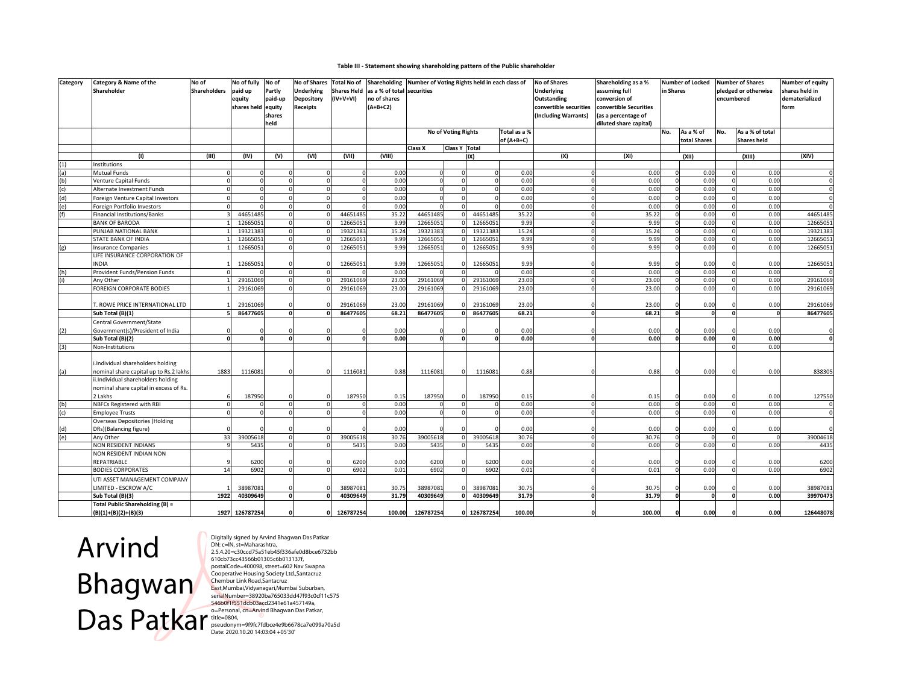### Table III - Statement showing shareholding pattern of the Public shareholder

| Category | Category & Name of the<br>Shareholder              | No of<br><b>Shareholders</b> | No of fully No of<br>paid up<br>equity<br>shares held equity | Partly<br>paid-up<br>shares<br>held | <b>No of Shares</b><br><b>Underlying</b><br><b>Depository</b><br><b>Receipts</b> | <b>Total No of</b><br><b>Shares Held</b><br>(IV+V+VI) | Shareholding Number of Voting Rights held in each class of<br>as a % of total securities<br>no of shares<br>$(A+B+C2)$ |                     |                     |                      |                            | No of Shares<br><b>Underlying</b><br>Outstanding<br>convertible securities<br>(Including Warrants) | Shareholding as a %<br>assuming full<br>conversion of<br>convertible Securities<br>(as a percentage of<br>diluted share capital) | in Shares | <b>Number of Locked</b>   |     | <b>Number of Shares</b><br>pledged or otherwise<br>encumbered | Number of equity<br>shares held in<br>dematerialized<br>form |
|----------|----------------------------------------------------|------------------------------|--------------------------------------------------------------|-------------------------------------|----------------------------------------------------------------------------------|-------------------------------------------------------|------------------------------------------------------------------------------------------------------------------------|---------------------|---------------------|----------------------|----------------------------|----------------------------------------------------------------------------------------------------|----------------------------------------------------------------------------------------------------------------------------------|-----------|---------------------------|-----|---------------------------------------------------------------|--------------------------------------------------------------|
|          |                                                    |                              |                                                              |                                     |                                                                                  |                                                       |                                                                                                                        |                     | No of Voting Rights |                      | Total as a %<br>of (A+B+C) |                                                                                                    |                                                                                                                                  | No.       | As a % of<br>total Shares | No. | As a % of total<br><b>Shares held</b>                         |                                                              |
|          | (1)                                                | (III)                        | (IV)                                                         | (V)                                 | (VI)                                                                             | (VII)                                                 | (VIII)                                                                                                                 | Class X             | Class Y Total       | (IX)                 |                            | (X)                                                                                                | (XI)                                                                                                                             |           | (XII)                     |     | (XIII)                                                        | (XIV)                                                        |
|          | Institutions                                       |                              |                                                              |                                     |                                                                                  |                                                       |                                                                                                                        |                     |                     |                      |                            |                                                                                                    |                                                                                                                                  |           |                           |     |                                                               |                                                              |
| (a)      | Mutual Funds                                       |                              |                                                              |                                     |                                                                                  |                                                       | 0.00                                                                                                                   |                     |                     |                      | 0.00                       |                                                                                                    | 0.00                                                                                                                             |           | 0.00                      |     | 0.00                                                          |                                                              |
| (b)      | Venture Capital Funds                              | $\Omega$                     |                                                              | $\Omega$                            |                                                                                  |                                                       | 0.00                                                                                                                   |                     |                     |                      | 0.00                       |                                                                                                    | 0.00                                                                                                                             | $\Omega$  | 0.00                      |     | 0.00                                                          |                                                              |
| (c)      | Alternate Investment Funds                         | $\Omega$                     |                                                              | $\Omega$                            |                                                                                  |                                                       | 0.00                                                                                                                   | $\Omega$            |                     |                      | 0.00                       |                                                                                                    | 0.00                                                                                                                             |           | 0.00                      |     | 0.00                                                          |                                                              |
| (d)      | Foreign Venture Capital Investors                  | $\Omega$                     |                                                              | $\sqrt{ }$                          |                                                                                  |                                                       | 0.00                                                                                                                   | $\Omega$            |                     |                      | 0.00                       |                                                                                                    | 0.00                                                                                                                             | $\Omega$  | 0.00                      |     | 0.00                                                          |                                                              |
| (e)      | Foreign Portfolio Investors                        |                              |                                                              |                                     |                                                                                  |                                                       | 0.00                                                                                                                   |                     |                     |                      | 0.00                       |                                                                                                    | 0.00                                                                                                                             |           | 0.00                      |     | 0.00                                                          |                                                              |
|          | <b>Financial Institutions/Banks</b>                |                              | 44651485                                                     |                                     |                                                                                  | 44651485                                              | 35.22                                                                                                                  | 44651485            |                     | 44651485             | 35.22                      |                                                                                                    | 35.22                                                                                                                            |           | 0.00                      |     | 0.00                                                          | 4465148                                                      |
|          | <b>BANK OF BARODA</b>                              |                              | 1266505                                                      |                                     |                                                                                  | 12665051                                              | 9.99                                                                                                                   | 1266505             |                     | 1266505              | 9.99                       |                                                                                                    | 9.99                                                                                                                             |           | 0.00                      |     | 0.00                                                          | 1266505                                                      |
|          | PUNJAB NATIONAL BANK                               |                              | 1932138                                                      | $\Omega$                            |                                                                                  | 19321383                                              | 15.24                                                                                                                  | 1932138             |                     | 19321383             | 15.24                      |                                                                                                    | 15.24                                                                                                                            |           | 0.00                      |     | 0.00                                                          | 1932138                                                      |
|          | STATE BANK OF INDIA                                |                              | 1266505                                                      | $\Omega$                            |                                                                                  | 12665051                                              | 9.99                                                                                                                   | 1266505             |                     | 1266505              | 9.99                       |                                                                                                    | 9.99                                                                                                                             |           | 0.00                      |     | 0.00                                                          | 1266505                                                      |
| (g)      | <b>Insurance Companies</b>                         |                              | 1266505                                                      |                                     |                                                                                  | 12665051                                              | 9.99                                                                                                                   | 1266505             |                     | 12665051             | 9.99                       |                                                                                                    | 9.99                                                                                                                             |           | 0.00                      |     | 0.00                                                          | 1266505                                                      |
|          | LIFE INSURANCE CORPORATION OF                      |                              |                                                              |                                     |                                                                                  |                                                       |                                                                                                                        |                     |                     |                      |                            |                                                                                                    |                                                                                                                                  |           |                           |     |                                                               |                                                              |
|          | <b>NDIA</b>                                        |                              | 12665051                                                     |                                     |                                                                                  | 12665051                                              | 9.99                                                                                                                   | 1266505             |                     | 12665051             | 9.99                       |                                                                                                    | 9.99                                                                                                                             |           | 0.00                      |     | 0.00                                                          | 1266505                                                      |
|          | Provident Funds/Pension Funds                      |                              |                                                              | $\Omega$                            |                                                                                  |                                                       | 0.00                                                                                                                   |                     |                     |                      | 0.00                       |                                                                                                    | 0.00                                                                                                                             |           | 0.00                      |     | 0.00                                                          |                                                              |
|          | Any Other                                          |                              | 29161069                                                     | $\Omega$                            |                                                                                  | 29161069                                              | 23.00                                                                                                                  | 29161069            |                     | 29161069             | 23.00                      |                                                                                                    | 23.00                                                                                                                            |           | 0.00                      |     | 0.00                                                          | 2916106                                                      |
|          | FOREIGN CORPORATE BODIES                           |                              | 29161069                                                     |                                     |                                                                                  | 29161069                                              | 23.00                                                                                                                  | 2916106             |                     | 29161069             | 23.00                      |                                                                                                    | 23.00                                                                                                                            |           | 0.00                      |     | 0.00                                                          | 2916106                                                      |
|          |                                                    |                              |                                                              |                                     |                                                                                  |                                                       |                                                                                                                        |                     |                     |                      |                            |                                                                                                    |                                                                                                                                  |           |                           |     |                                                               |                                                              |
|          | . ROWE PRICE INTERNATIONAL LTD<br>Sub Total (B)(1) |                              | 29161069<br>86477605                                         | $\Omega$                            |                                                                                  | 29161069<br>86477605                                  | 23.00<br>68.21                                                                                                         | 2916106<br>86477605 |                     | 29161069<br>86477605 | 23.00<br>68.21             |                                                                                                    | 23.00<br>68.21                                                                                                                   |           | 0.00<br>$\Omega$          |     | 0.00<br>$\Omega$                                              | 2916106<br>8647760                                           |
|          | Central Government/State                           |                              |                                                              |                                     |                                                                                  |                                                       |                                                                                                                        |                     |                     |                      |                            |                                                                                                    |                                                                                                                                  |           |                           |     |                                                               |                                                              |
|          | Government(s)/President of India                   |                              |                                                              |                                     |                                                                                  |                                                       | 0.00                                                                                                                   |                     |                     |                      | 0.00                       |                                                                                                    | 0.00                                                                                                                             |           | 0.00                      |     | 0.00                                                          |                                                              |
|          | Sub Total (B)(2)                                   | $\mathbf{0}$                 | n                                                            | $\Omega$                            |                                                                                  |                                                       | 0.00                                                                                                                   |                     | $\Omega$            |                      | 0.00                       |                                                                                                    | 0.00                                                                                                                             |           | 0.00                      |     | 0.00                                                          |                                                              |
| (3)      | Non-Institutions                                   |                              |                                                              |                                     |                                                                                  |                                                       |                                                                                                                        |                     |                     |                      |                            |                                                                                                    |                                                                                                                                  |           |                           |     | 0.00                                                          |                                                              |
|          | i.Individual shareholders holding                  |                              |                                                              |                                     |                                                                                  |                                                       |                                                                                                                        |                     |                     |                      |                            |                                                                                                    |                                                                                                                                  |           |                           |     |                                                               |                                                              |
| (a)      | nominal share capital up to Rs.2 lakhs             | 1883                         | 1116081                                                      |                                     |                                                                                  | 1116081                                               | 0.88                                                                                                                   | 1116081             | $\Omega$            | 1116081              | 0.88                       |                                                                                                    | 0.88                                                                                                                             |           | 0.00                      |     | 0.00                                                          | 83830                                                        |
|          | ii.Individual shareholders holding                 |                              |                                                              |                                     |                                                                                  |                                                       |                                                                                                                        |                     |                     |                      |                            |                                                                                                    |                                                                                                                                  |           |                           |     |                                                               |                                                              |
|          | nominal share capital in excess of Rs.<br>2 Lakhs  |                              |                                                              |                                     |                                                                                  |                                                       | 0.15                                                                                                                   |                     |                     |                      |                            |                                                                                                    |                                                                                                                                  |           |                           |     | 0.00                                                          |                                                              |
| (b)      | NBFCs Registered with RBI                          | $\mathbf 0$                  | 187950                                                       | $\Omega$                            |                                                                                  | 187950                                                | 0.00                                                                                                                   | 187950              | 0<br>$\Omega$       | 187950               | 0.15<br>0.00               |                                                                                                    | 0.15<br>0.00                                                                                                                     |           | 0.00<br>0.00              |     | 0.00                                                          | 127550                                                       |
| (c)      | <b>Employee Trusts</b>                             |                              |                                                              |                                     |                                                                                  |                                                       | 0.00                                                                                                                   |                     |                     |                      | 0.00                       |                                                                                                    | 0.00                                                                                                                             |           | 0.00                      |     | 0.00                                                          |                                                              |
|          | <b>Overseas Depositories (Holding</b>              |                              |                                                              |                                     |                                                                                  |                                                       |                                                                                                                        |                     |                     |                      |                            |                                                                                                    |                                                                                                                                  |           |                           |     |                                                               |                                                              |
|          | DRs)(Balancing figure)                             |                              |                                                              |                                     |                                                                                  |                                                       | 0.00                                                                                                                   |                     |                     |                      | 0.00                       |                                                                                                    | 0.00                                                                                                                             |           | 0.00                      |     | 0.00                                                          |                                                              |
| (e)      | Any Other                                          | 33                           | 39005618                                                     | $\Omega$                            |                                                                                  | 39005618                                              | 30.76                                                                                                                  | 39005618            |                     | 39005618             | 30.76                      |                                                                                                    | 30.76                                                                                                                            |           |                           |     |                                                               | 3900461                                                      |
|          | NON RESIDENT INDIANS                               | $\mathbf{q}$                 | 5435                                                         | $\Omega$                            |                                                                                  | 5435                                                  | 0.00                                                                                                                   | 5435                |                     | 5435                 | 0.00                       |                                                                                                    | 0.00                                                                                                                             |           | 0.00                      |     | 0.00                                                          | 4435                                                         |
|          | NON RESIDENT INDIAN NON                            |                              |                                                              |                                     |                                                                                  |                                                       |                                                                                                                        |                     |                     |                      |                            |                                                                                                    |                                                                                                                                  |           |                           |     |                                                               |                                                              |
|          | REPATRIABLE                                        |                              | 6200                                                         |                                     |                                                                                  | 6200                                                  | 0.00                                                                                                                   | 6200                |                     | 6200                 | 0.00                       |                                                                                                    | 0.00                                                                                                                             |           | 0.00                      |     | 0.00                                                          | 6200                                                         |
|          | <b>BODIES CORPORATES</b>                           | 14                           | 6902                                                         |                                     |                                                                                  | 6902                                                  | 0.01                                                                                                                   | 6902                |                     | 6902                 | 0.01                       |                                                                                                    | 0.01                                                                                                                             |           | 0.00                      |     | 0.00                                                          | 6902                                                         |
|          | UTI ASSET MANAGEMENT COMPANY                       |                              |                                                              |                                     |                                                                                  |                                                       |                                                                                                                        |                     |                     |                      |                            |                                                                                                    |                                                                                                                                  |           |                           |     |                                                               |                                                              |
|          | LIMITED - ESCROW A/C                               |                              | 38987081                                                     |                                     |                                                                                  | 38987081                                              | 30.75                                                                                                                  | 38987081            |                     | 38987081             | 30.75                      |                                                                                                    | 30.75                                                                                                                            |           | 0.00                      |     | 0.00                                                          | 3898708                                                      |
|          | Sub Total (B)(3)                                   | 1922                         | 40309649                                                     | $\Omega$                            |                                                                                  | 40309649                                              | 31.79                                                                                                                  | 4030964             |                     | 40309649             | 31.79                      |                                                                                                    | 31.79                                                                                                                            |           |                           |     | 0.00                                                          | 3997047                                                      |
|          | Total Public Shareholding (B) =                    |                              |                                                              |                                     |                                                                                  |                                                       |                                                                                                                        |                     |                     |                      |                            |                                                                                                    |                                                                                                                                  |           |                           |     |                                                               |                                                              |
|          | $(B)(1)+(B)(2)+(B)(3)$                             |                              | 1927 126787254                                               |                                     | $\Omega$                                                                         | 126787254                                             | 100.00                                                                                                                 | 126787254           | $\Omega$            | 126787254            | 100.00                     |                                                                                                    | 100.00                                                                                                                           |           | 0.00                      |     | 0.00                                                          | 126448078                                                    |

Arvind Bhagwan Das Patkar

Digitally signed by Arvind Bhagwan Das Patkar<br>DN: <=N/s, st=Maharashtra,<br>2.5.4.20=<30ccd75a51eb45f336afe0d8bce6732bb<br>610cb73cc43566b01305c6b013137f,<br>00cb73cc43566b013.05c6b013137f,<br>Cooperative Housing Societ=602 Nav Swapna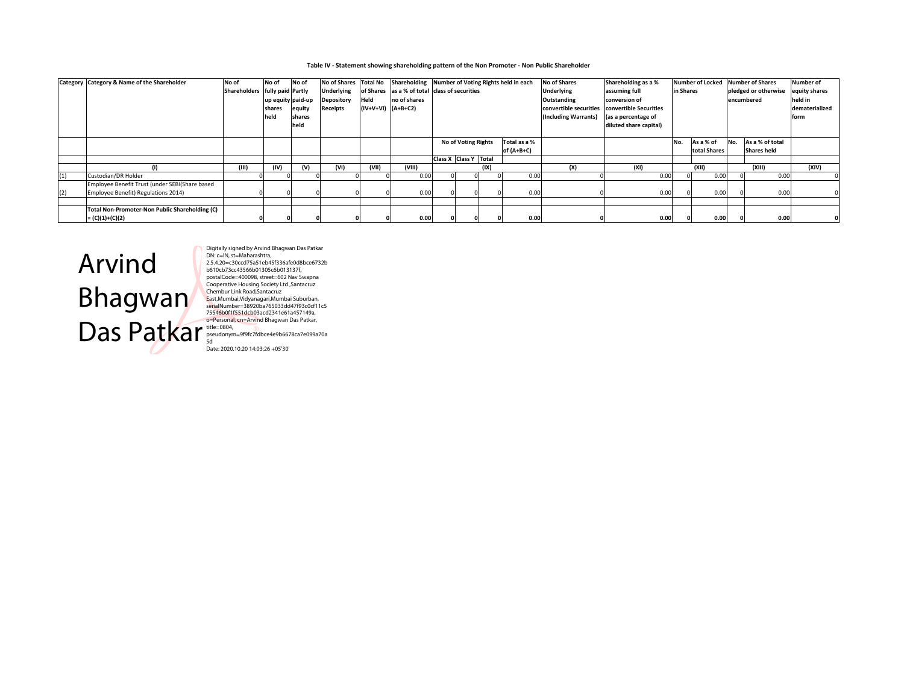#### Table IV - Statement showing shareholding pattern of the Non Promoter - Non Public Shareholder

|     | Category Category & Name of the Shareholder           | No of                          | No of             | No of  |                   |                        | No of Shares Total No Shareholding Number of Voting Rights held in each |                       |                     |      |              | <b>No of Shares</b>    | Shareholding as a %    |           |              |     | Number of Locked Number of Shares | Number of      |
|-----|-------------------------------------------------------|--------------------------------|-------------------|--------|-------------------|------------------------|-------------------------------------------------------------------------|-----------------------|---------------------|------|--------------|------------------------|------------------------|-----------|--------------|-----|-----------------------------------|----------------|
|     |                                                       | Shareholders fully paid Partly |                   |        | <b>Underlying</b> |                        | of Shares as a % of total class of securities                           |                       |                     |      |              | <b>Underlying</b>      | assuming full          | in Shares |              |     | pledged or otherwise              | equity shares  |
|     |                                                       |                                | up equity paid-up |        | <b>Depository</b> | Held                   | no of shares                                                            |                       |                     |      |              | Outstanding            | conversion of          |           |              |     | encumbered                        | held in        |
|     |                                                       |                                | shares            | equity | Receipts          | $(IV+V+VI)$ $(A+B+C2)$ |                                                                         |                       |                     |      |              | convertible securities | convertible Securities |           |              |     |                                   | dematerialized |
|     |                                                       |                                | held              | shares |                   |                        |                                                                         |                       |                     |      |              | (Including Warrants)   | (as a percentage of    |           |              |     |                                   | form           |
|     |                                                       |                                |                   | held   |                   |                        |                                                                         |                       |                     |      |              |                        | diluted share capital) |           |              |     |                                   |                |
|     |                                                       |                                |                   |        |                   |                        |                                                                         |                       |                     |      |              |                        |                        |           |              |     |                                   |                |
|     |                                                       |                                |                   |        |                   |                        |                                                                         |                       | No of Voting Rights |      | Total as a % |                        |                        | No.       | As a % of    | No. | As a % of total                   |                |
|     |                                                       |                                |                   |        |                   |                        |                                                                         |                       |                     |      | of (A+B+C)   |                        |                        |           | total Shares |     | <b>Shares held</b>                |                |
|     |                                                       |                                |                   |        |                   |                        |                                                                         | Class X Class Y Total |                     |      |              |                        |                        |           |              |     |                                   |                |
|     |                                                       | (III)                          |                   | (v)    | (VI)              | (VII)                  | (VIII)                                                                  |                       |                     | (IX) |              | (X)                    | (XI)                   |           | (XII)        |     | (XIII)                            | (XIV)          |
| (1) | Custodian/DR Holder                                   |                                |                   |        |                   |                        | 0.00                                                                    |                       |                     |      | 0.00         |                        | 0.00                   |           | 0.00         |     | 0.00                              |                |
|     | Employee Benefit Trust (under SEBI(Share based        |                                |                   |        |                   |                        |                                                                         |                       |                     |      |              |                        |                        |           |              |     |                                   |                |
| (2) | Employee Benefit) Regulations 2014)                   |                                |                   |        |                   |                        | 0.00                                                                    |                       |                     |      | 0.00         |                        | 0.00                   |           | 0.00         |     | 0.00                              |                |
|     |                                                       |                                |                   |        |                   |                        |                                                                         |                       |                     |      |              |                        |                        |           |              |     |                                   |                |
|     | <b>Total Non-Promoter-Non Public Shareholding (C)</b> |                                |                   |        |                   |                        |                                                                         |                       |                     |      |              |                        |                        |           |              |     |                                   |                |
|     | $= (C)(1)+(C)(2)$                                     |                                |                   |        |                   |                        | 0.00                                                                    |                       |                     |      | 0.00         |                        | 0.00                   |           | 0.00         |     | 0.00                              |                |



Digitally signed by Arvind Bhagwan Das Patkar<br>Digitally signed by Arvind Bhagwan Das Patkar<br>2.5.4.20=c30ccd75a51eb45f336afe0d8bce6732b<br>b610b73cc43566b01305c6b013137f,<br>postalCode=400098, street=602 Nav Swapna<br>Cooperative Ho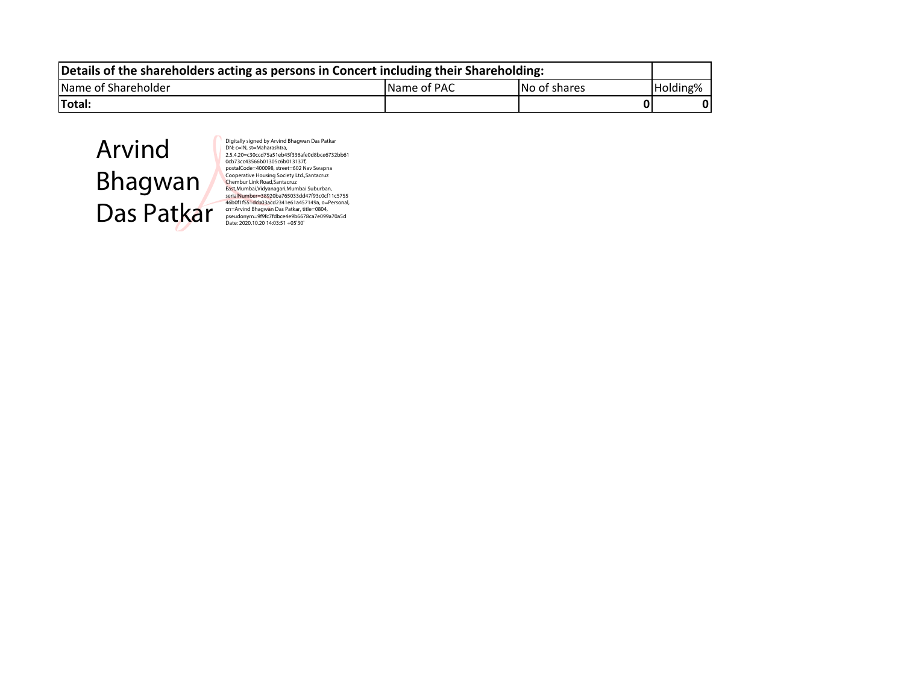| Details of the shareholders acting as persons in Concert including their Shareholding: |                     |              |          |  |  |  |  |  |  |  |  |
|----------------------------------------------------------------------------------------|---------------------|--------------|----------|--|--|--|--|--|--|--|--|
| Name of Shareholder                                                                    | <b>IName of PAC</b> | No of shares | Holding% |  |  |  |  |  |  |  |  |
| <b>ITotal:</b>                                                                         |                     |              |          |  |  |  |  |  |  |  |  |



Digitally signed by Arvind Bhagwan Das Patkar<br>Digitally signed by Arvind Bhagwan Das Patkar<br>2.5.4.20=c30ccd75a51eb45f336afe0d8bce6732bb61<br>0tb73cc43566b01305c6b013137,<br>postalCode=400098, street=602 Nav Swapna<br>Cooperative Ho